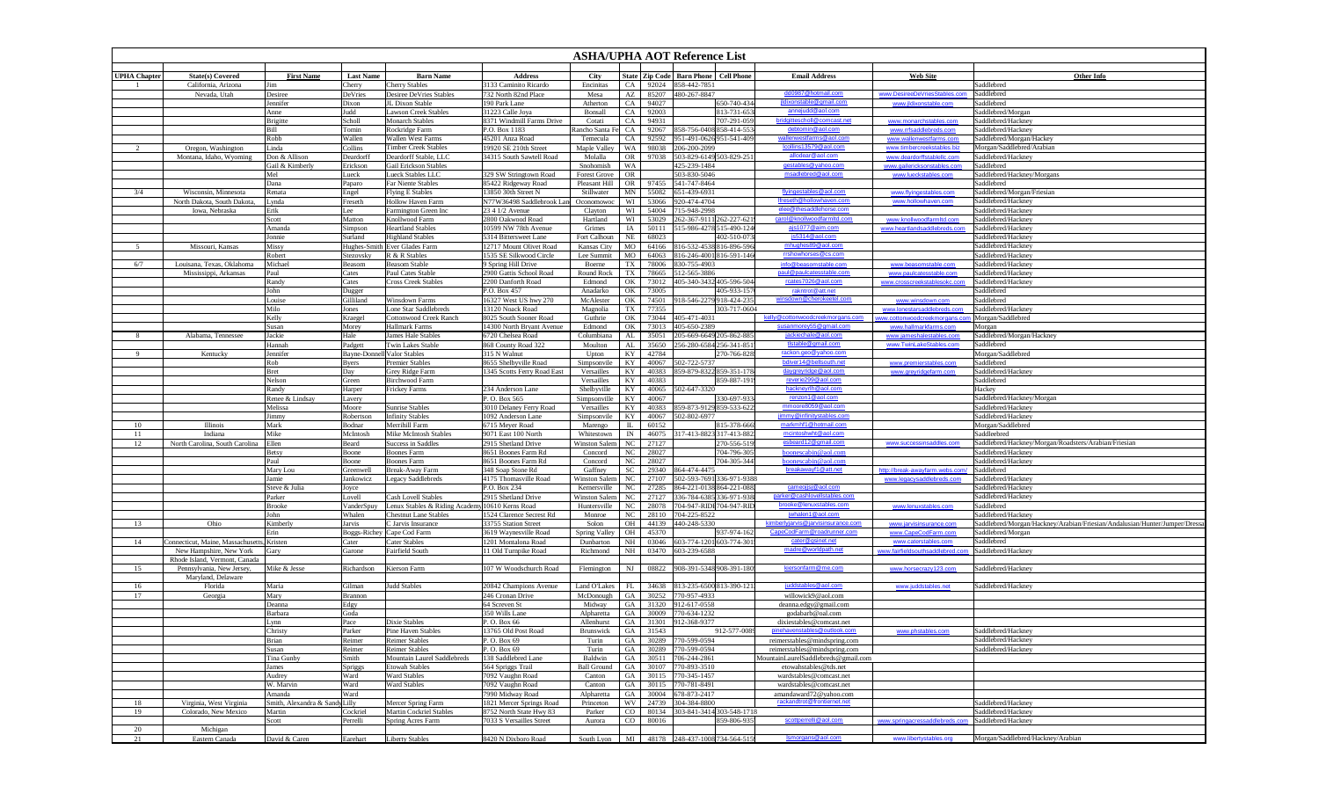|                     |                                           |                                |                      |                                                        |                                               |                                      | <b>ASHA/UPHA AOT Reference List</b> |                |                                                      |                                       |                                                       |                                                      |                                                                            |  |
|---------------------|-------------------------------------------|--------------------------------|----------------------|--------------------------------------------------------|-----------------------------------------------|--------------------------------------|-------------------------------------|----------------|------------------------------------------------------|---------------------------------------|-------------------------------------------------------|------------------------------------------------------|----------------------------------------------------------------------------|--|
| <b>UPHA Chapter</b> | <b>State(s)</b> Covered                   | <b>First Name</b>              | <b>Last Name</b>     | <b>Barn Name</b>                                       | <b>Address</b>                                | City                                 |                                     |                | State   Zip Code   Barn Phone                        | <b>Cell Phone</b>                     | <b>Email Address</b>                                  | <b>Web Site</b>                                      | <b>Other Info</b>                                                          |  |
|                     | California, Arizona                       | Jim                            | Cherry               | <b>Cherry Stables</b>                                  | 3133 Caminito Ricardo                         | Encinitas                            | CA                                  | 92024          | 858-442-7851                                         |                                       |                                                       |                                                      | Saddlebred                                                                 |  |
|                     | Nevada, Utah                              | Desiree                        | DeVries              | <b>Desiree DeVries Stables</b>                         | 732 North 82nd Place                          | Mesa                                 | AZ                                  | 85207          | 480-267-8847                                         |                                       | dd0987@hotmail.com                                    | www.DesireeDeVriesStables.com                        | Saddlebred                                                                 |  |
|                     |                                           | Jennifer                       | Dixon                | JL Dixon Stable                                        | 190 Park Lane                                 | Atherton                             | CA                                  | 94027          |                                                      | 650-740-434                           | ildixonstable@gmail.com                               | www.jldixonstable.com                                | Saddlebred                                                                 |  |
|                     |                                           | Anne                           | Judd                 | <b>Lawson Creek Stables</b>                            | 31223 Calle Joya                              | Bonsall                              | CA                                  | 92003          |                                                      | 813-731-653                           | annejudd@aol.com                                      |                                                      | Saddlebred/Morgan                                                          |  |
|                     |                                           | Brigitte                       | Scholl               | <b>Monarch Stables</b>                                 | 8371 Windmill Farms Drive                     | Cotati                               | CA                                  | 94931          |                                                      | 707-291-059                           | bridgittescholl@comcast.net                           | www.monarchstables.com                               | Saddlebred/Hackney                                                         |  |
|                     |                                           | Bill<br>Robb                   | Tomin<br>Wallen      | Rockridge Farm<br><b>Wallen West Farms</b>             | P.O. Box 1183<br>45201 Anza Road              | Rancho Santa Fe<br>Temecula          | CA<br>CA                            | 92067<br>92592 | 858-756-0408 858-414-553<br>951-491-0626 951-541-409 |                                       | debtomin@aol.com<br>wallenwestfarms@aol.com           | www.rrfsaddlebreds.com<br>www.wallenwestfarms.com    | Saddlebred/Hackney<br>Saddlebred/Morgan/Hackey                             |  |
|                     | Oregon, Washington                        | Linda                          | Collins              | <b>Timber Creek Stables</b>                            | 19920 SE 210th Street                         | Maple Valley                         | WA                                  | 98038          | 206-200-2099                                         |                                       | lcollins13579@aol.com                                 | www.timbercreekstables.biz                           | Morgan/Saddlebred/Arabian                                                  |  |
|                     | Montana, Idaho, Wyoming                   | Don & Allison                  | Deardorff            | Deardorff Stable, LLC                                  | 34315 South Sawtell Road                      | Molalla                              | <b>OR</b>                           | 97038          | 503-829-6149 503-829-251                             |                                       | allodear@aol.com                                      | www.deardorffstablellc.com                           | Saddlebred/Hackney                                                         |  |
|                     |                                           | Gail & Kimberly                | Erickson             | <b>Gail Erickson Stables</b>                           |                                               | Snohomish                            | WA                                  |                | 425-239-1484                                         |                                       | gestables@yahoo.com                                   | www.gailericksonstables.com                          | Saddlebred                                                                 |  |
|                     |                                           | Mel                            | Lueck                | Lueck Stables LLC                                      | 329 SW Stringtown Road                        | <b>Forest Grove</b>                  | OR                                  |                | 503-830-5046                                         |                                       | msadlebred@aol.com                                    | www.lueckstables.com                                 | Saddlebred/Hackney/Morgans                                                 |  |
|                     |                                           | Dana                           | Paparo               | Far Niente Stables                                     | 85422 Ridgeway Road                           | Pleasant Hill                        | <b>OR</b>                           | 97455          | 541-747-8464                                         |                                       |                                                       |                                                      | Saddlebred                                                                 |  |
| 3/4                 | Wisconsin, Minnesota                      | Renata                         | Engel                | <b>Flying E Stables</b>                                | 13850 30th Street N                           | Stillwater                           | MN                                  | 55082          | 651-439-6931                                         |                                       | flyingestables@aol.com                                | www.flyingestables.com                               | Saddlebred/Morgan/Friesian                                                 |  |
|                     | North Dakota, South Dakota,               | Lynda                          | Freseth              | <b>Hollow Haven Farm</b>                               | N77W36498 Saddlebrook Lan                     | Oconomowoc                           | WI                                  | 53066          | 920-474-4704                                         |                                       | Ifreseth@hollowhaven.com                              | www.hollowhaven.com                                  | Saddlebred/Hackney                                                         |  |
|                     | Iowa, Nebraska                            | Erik                           | Lee                  | Farmington Green Inc                                   | 23 4 1/2 Avenue<br>2800 Oakwood Road          | Clayton                              | WI                                  | 54004          | 15-948-2998                                          |                                       | elee@thesaddlehorse.com<br>carol@knollwoodfarmitd.com | www.knollwoodfarmltd.com                             | Saddlebred/Hackney<br>Saddlebred/Hackney                                   |  |
|                     |                                           | Scott<br>Amanda                | Matton<br>Simpson    | Knollwood Farm<br><b>Heartland Stables</b>             | 0599 NW 78th Avenue                           | Hartland<br>Grimes                   | WI<br>IA                            | 53029<br>50111 | 62-367-9111 262-227-621<br>15-986-4278 515-490-124   |                                       | ajs1077@aim.com                                       | www.heartlandsaddlebreds.com                         | Saddlebred/Hackney                                                         |  |
|                     |                                           | Jonnie                         | Surland              | <b>Highland Stables</b>                                | 5314 Bittersweet Lane                         | Fort Calhoun                         | NE                                  | 68023          | 402-510-073                                          |                                       | is5314@aol.com                                        |                                                      | Saddlebred/Hackney                                                         |  |
| 5                   | Missouri, Kansas                          | Missy                          | Hughes-Smith         | Ever Glades Farm                                       | 12717 Mount Olivet Road                       | Kansas City                          | MO                                  | 64166          | 816-532-4538 816-896-596                             |                                       | mhughes89@aol.com                                     |                                                      | Saddlebred/Hackney                                                         |  |
|                     |                                           | Robert                         | Stezovsky            | R & R Stables                                          | 1535 SE Silkwood Circle                       | Lee Summit                           | MO                                  | 64063          |                                                      | 316-246-4001 816-591-146              | rrshowhorses@cs.com                                   |                                                      | Saddlebred/Hackney                                                         |  |
| 6/7                 | Louisana, Texas, Oklahoma                 | Michael                        | Beasom               | <b>Beasom Stable</b>                                   | 9 Spring Hill Drive                           | Boerne                               | TX                                  | 78006          | 330-755-4903                                         |                                       | info@beasomstable.com                                 | www.beasomstable.com                                 | Saddlebred/Hackney                                                         |  |
|                     | Mississippi, Arkansas                     | Paul                           | Cates                | Paul Cates Stable                                      | 2900 Gattis School Road                       | Round Rock                           | TX                                  | 78665          | 512-565-3886                                         |                                       | paul@paulcatesstable.com                              | www.paulcatesstable.com                              | Saddlebred/Hackney                                                         |  |
|                     |                                           | Randy                          | Cates                | <b>Cross Creek Stables</b>                             | 2200 Danforth Road                            | Edmond                               | OK                                  | 73012          |                                                      | 405-340-3432 405-596-504              | rcates7026@aol.com                                    | www.crosscreekstablesokc.com                         | Saddlebred/Hackney                                                         |  |
|                     |                                           | John                           | Dugger               |                                                        | P.O. Box 457                                  | Anadarko                             | OK                                  | 73005          |                                                      | 405-933-157                           | rakntrot@att.net                                      |                                                      | Saddlebred                                                                 |  |
|                     |                                           | Louise                         | Gilliland            | <b>Winsdown Farms</b>                                  | 16327 West US hwy 270                         | McAlester                            | OK                                  | 74501          |                                                      | 18-546-2279 918-424-235               | winsdown@cherokeetel.com                              | www.winsdown.com                                     | Saddlebred                                                                 |  |
|                     |                                           | Milo<br>Kelly                  | Jones                | Lone Star Saddlebreds<br><b>Cottonwood Creek Ranch</b> | 13120 Noack Road<br>8025 South Sooner Road    | Magnolia<br>Guthrie                  | TX<br>OK                            | 77355<br>73044 | 105-471-4031                                         | 303-717-0604                          | kelly@cottonwoodcreekmorgans.com                      | www.lonestarsaddlebreds.com                          | Saddlebred/Hackney<br>Morgan/Saddlebred                                    |  |
|                     |                                           | Susan                          | Kraegel<br>Morey     | <b>Hallmark Farms</b>                                  | 14300 North Bryant Avenue                     | Edmond                               | OK                                  | 73013          | 105-650-2389                                         |                                       | susanmorey55@gmail.com                                | ww.cottonwoodcreekmorgans.o<br>www.hallmarkfarms.com | Morgan                                                                     |  |
|                     | Alabama, Tennessee                        | Jackie                         | Hale                 | James Hale Stables                                     | 6720 Chelsea Road                             | Columbiana                           | AL                                  | 35051          |                                                      | 05-669-6649 205-862-885               | jackiechale@aol.com                                   | www.jameshalestables.com                             | Saddlebred/Morgan/Hackney                                                  |  |
|                     |                                           | Hannah                         | Padgett              | <b>Twin Lakes Stable</b>                               | 868 County Road 322                           | Moulton                              | AL                                  | 35650          | 256-280-6584 256-341-851                             |                                       | tistable@gmail.com                                    | www.TwinLakeStables.com                              | Saddlebred                                                                 |  |
| 9                   | Kentucky                                  | Jennifer                       |                      | <b>Bayne-Donnell Valor Stables</b>                     | 315 N Walnut                                  | Upton                                | KY                                  | 42784          |                                                      | 270-766-828                           | rackon.geo@yahoo.com                                  |                                                      | Morgan/Saddlebred                                                          |  |
|                     |                                           | Rob                            | <b>Byers</b>         | <b>Premier Stables</b>                                 | 8655 Shelbyville Road                         | Simpsonvile                          | KY                                  | 40067          | 02-722-5737                                          |                                       | bdiver14@bellsouth.net                                | www.premierstables.com                               | Saddlebred                                                                 |  |
|                     |                                           | Bret                           | Day                  | Grey Ridge Farm                                        | 1345 Scotts Ferry Road East                   | Versailles                           | KY                                  | 40383          |                                                      | 159-879-8322 859-351-178              | daygreyridge@aol.com                                  | www.greyridgefarm.com                                | Saddlebred/Hackney                                                         |  |
|                     |                                           | Nelson                         | Green                | <b>Birchwood Farm</b>                                  |                                               | Versailles                           | KY                                  | 40383          |                                                      | 859-887-191                           | reverie299@aol.com                                    |                                                      | Saddlebred                                                                 |  |
|                     |                                           | Randy                          | Harper               | Frickey Farms                                          | 234 Anderson Lane                             | Shelbyville                          | KY                                  | 40065          | 502-647-3320                                         |                                       | hackneyrlh@aol.com                                    |                                                      | Hackey                                                                     |  |
|                     |                                           | Renee & Lindsay<br>Melissa     | Lavery               |                                                        | P.O. Box 565                                  | Simpsonville                         | KY                                  | 40067<br>40383 |                                                      | 30-697-933<br>39-873-9129 859-533-622 | renzon1@aol.com<br>mmoore8059@aol.com                 |                                                      | Saddlebred/Hackney/Morgan<br>Saddlebred/Hackney                            |  |
|                     |                                           | Jimmy                          | Moore<br>Robertson   | <b>Sunrise Stables</b><br><b>Infinity Stables</b>      | 3010 Delaney Ferry Road<br>1092 Anderson Lane | Versailles<br>Simpsonvile            | KY<br>KY                            | 40067          | 02-802-6977                                          |                                       | jimmy@infinitystables.com                             |                                                      | Saddlebred/Hackney                                                         |  |
| 10                  | <b>Illinois</b>                           | Mark                           | Bodnar               | Merrihill Farm                                         | 6715 Meyer Road                               | Marengo                              | IL.                                 | 60152          |                                                      | 815-378-666                           | markmhf1@hotmail.com                                  |                                                      | Morgan/Saddlebred                                                          |  |
| 11                  | Indiana                                   | Mike                           | McIntosh             | Mike McIntosh Stables                                  | 9071 East 100 North                           | Whitestown                           | IN                                  | 46075          |                                                      | 17-413-8823 317-413-882               | mcintoshwht@aol.com                                   |                                                      | Saddleebred                                                                |  |
| 12                  | North Carolina, South Carolina            | Ellen                          | Beard                | <b>Success in Saddle:</b>                              | 2915 Shetland Drive                           | Winston Salem                        | NC                                  | 27127          |                                                      | 270-556-519                           | esbeard12@gmail.com                                   | www.successinsaddles.com                             | Saddlebred/Hackney/Morgan/Roadsters/Arabian/Friesian                       |  |
|                     |                                           | <b>Betsy</b>                   | Boone                | <b>Boones Farm</b>                                     | 8651 Boones Farm Rd                           | Concord                              | NC                                  | 28027          |                                                      | 704-796-305                           | boonescabin@aol.com                                   |                                                      | Saddlebred/Hackney                                                         |  |
|                     |                                           | Paul                           | Boone                | <b>Boones Farm</b>                                     | 8651 Boones Farm Rd                           | Concord                              | NC                                  | 28027          |                                                      | 704-305-344                           | boonescabin@aol.com                                   |                                                      | Saddlebred/Hackney                                                         |  |
|                     |                                           | Mary Lou                       | Greenwell            | Break-Away Farm                                        | 348 Soap Stone Rd                             | Gaffney                              | SC                                  | 29340          | 364-474-4475                                         |                                       | breakawayf1@att.net                                   | http://break-awayfarm.webs.com                       | Saddlebred                                                                 |  |
|                     |                                           | Jamie                          | Jankowicz            | <b>Legacy Saddlebreds</b>                              | 4175 Thomasville Road                         | <b>Winston Salem</b>                 | NC                                  | 27107          |                                                      | 502-593-7691 336-971-9388             |                                                       | www.legacysaddlebreds.com                            | Saddlebred/Hackney                                                         |  |
|                     |                                           | Steve & Julia                  | Joyce                | <b>Cash Lovell Stables</b>                             | P.O. Box 234<br>2915 Shetland Drive           | Kernersville<br><b>Winston Salem</b> | NC                                  | 27285<br>27127 | 864-221-0138 864-221-088.<br>36-784-6385 336-971-938 |                                       | cameojjsj@aol.com<br>parker@cashlovellstables.com     |                                                      | Saddlebred/Hackney<br>Saddlebred/Hackney                                   |  |
|                     |                                           | Parker<br><b>Brooke</b>        | Lovell<br>VanderSpuy | Lenux Stables & Riding Academy 10610 Kerns Road        |                                               | Huntersville                         | NC<br>NC                            | 28078          | '04-947-RIDI 704-947-RID                             |                                       | brooke@lenuxstables.com                               | www.lenuxstables.com                                 | Saddlebred                                                                 |  |
|                     |                                           | John                           | Whalen               | <b>Chestnut Lane Stables</b>                           | 1524 Clarence Secrest Rd                      | Monroe                               | NC                                  | 28110          | 704-225-8522                                         |                                       | whalen1@aol.com                                       |                                                      | Saddlebred/Hackney                                                         |  |
| 13                  | Ohio                                      | Kimberly                       | Jarvis               | C Jarvis Insurance                                     | 33755 Station Street                          | Solon                                | OH                                  | 44139          | 140-248-5330                                         |                                       | kimberlyjarvis@jarvisinsurance.com                    | www.jarvisinsurance.com                              | Saddlebred/Morgan/Hackney/Arabian/Friesian/Andalusian/Hunter/Jumper/Dressa |  |
|                     |                                           | Erin                           | Boggs-Richey         | Cape Cod Farm                                          | 3619 Waynesville Road                         | Spring Valley                        | OH                                  | 45370          |                                                      | 937-974-162                           | CapeCodFarm@roadrunner.com                            | www.CapeCodFarm.com                                  | Saddlebred/Morgan                                                          |  |
| 14                  | onnecticut, Maine, Massachusetts, Kristen |                                | Cater                | Cater Stables                                          | 1201 Montalona Road                           | Dunbarton                            | NH                                  | 03046          | 603-774-1201 603-774-301                             |                                       | cater@gsinet.net                                      | www.caterstables.com                                 | Saddlebred                                                                 |  |
|                     | New Hampshire, New York                   | Gary                           | Garone               | <b>Fairfield South</b>                                 | 11 Old Turnpike Road                          | Richmond                             | NH                                  | 03470          | 603-239-6588                                         |                                       | madre@worldpath.net                                   | www.fairfieldsouthsaddlebred.con                     | Saddlebred/Hackney                                                         |  |
|                     | Rhode Island, Vermont, Canada             |                                |                      |                                                        |                                               |                                      |                                     |                |                                                      |                                       |                                                       |                                                      |                                                                            |  |
| 15                  | Pennsylvania, New Jersey,                 | Mike & Jesse                   | Richardson           | Kierson Farm                                           | 107 W Woodschurch Road                        | Flemington                           | NJ                                  | 08822          | 908-391-5348 908-391-180                             |                                       | kiersonfarm@me.com                                    | www.horsecrazy123.com                                | Saddlebred/Hackney                                                         |  |
| 16                  | Maryland, Delaware<br>Florida             | Maria                          | Gilman               | <b>Judd Stables</b>                                    | 20842 Champions Avenue                        | Land O'Lakes                         | FL.                                 | 34638          | 813-235-6500 813-390-12                              |                                       | juddstables@aol.com                                   | www.juddstables.net                                  | Saddlebred/Hackney                                                         |  |
| 17                  | Georgia                                   | Mary                           | Brannon              |                                                        | 246 Cronan Drive                              | McDonough                            | GA                                  | 30252          | 770-957-4933                                         |                                       | willowick9@aol.com                                    |                                                      |                                                                            |  |
|                     |                                           | Deanna                         | Edgy                 |                                                        | 64 Screven St                                 | Midway                               | GA                                  | 31320          | 12-617-0558                                          |                                       | deanna.edgy@gmail.com                                 |                                                      |                                                                            |  |
|                     |                                           | Barbara                        | Goda                 |                                                        | 350 Wills Lane                                | Alpharetta                           | GA                                  | 30009          | 70-634-1232                                          |                                       | godabarb@oal.com                                      |                                                      |                                                                            |  |
|                     |                                           | <b>ynn</b>                     | Pace                 | Dixie Stables                                          | P.O. Box 66                                   | Allenhurst                           | GA                                  | 31301          | 912-368-9377                                         |                                       | dixiestables@comcast.net                              |                                                      |                                                                            |  |
|                     |                                           | Christy                        | Parker               | Pine Haven Stable:                                     | 3765 Old Post Road                            | <b>Brunswick</b>                     | GA                                  | 31543          |                                                      | 912-577-0089                          |                                                       |                                                      | Saddlebred/Hackno                                                          |  |
|                     |                                           | Brian                          | Reimer               | Reimer Stables                                         | P.O. Box 69                                   | Turin                                | <b>GA</b>                           | 30289          | 770-599-0594                                         |                                       | reimerstables@mindspring.com                          |                                                      | Saddlebred/Hackney                                                         |  |
|                     |                                           | Susan                          | Reimer               | <b>Reimer Stables</b>                                  | P.O. Box 69                                   | Turin                                | GA                                  | 30289          | 70-599-0594                                          |                                       | reimerstables@mindspring.com                          |                                                      | Saddlebred/Hackney                                                         |  |
|                     |                                           | Tina Gunby                     | Smith                | Mountain Laurel Saddlebreds                            | 138 Saddlebred Lane                           | Baldwin                              | GA                                  | 30511          | 706-244-2861                                         |                                       | MountainLaurelSaddlebreds@gmail.com                   |                                                      |                                                                            |  |
|                     |                                           | James                          | Spriggs              | <b>Etowah Stables</b>                                  | 564 Spriggs Trail                             | <b>Ball Ground</b>                   | GA                                  | 30107          | 770-893-3510                                         |                                       | etowahstables@tds.net                                 |                                                      |                                                                            |  |
|                     |                                           | Audrey<br>W. Marvin            | Ward<br>Ward         | <b>Ward Stables</b><br><b>Ward Stables</b>             | 7092 Vaughn Road<br>7092 Vaughn Road          | Canton<br>Canton                     | GA<br>GA                            | 30115<br>30115 | 70-345-1457<br>70-781-8491                           |                                       | wardstables@comcast.net<br>wardstables@comcast.net    |                                                      |                                                                            |  |
|                     |                                           | Amanda                         | Ward                 |                                                        | 7990 Midway Road                              | Alpharetta                           | GA                                  | 30004          | 678-873-2417                                         |                                       | amandaward72@yahoo.com                                |                                                      |                                                                            |  |
| 18                  | Virginia, West Virginia                   | Smith, Alexandra & Sandy Lilly |                      | Mercer Spring Farm                                     | 1821 Mercer Springs Road                      | Princeton                            | WV                                  | 24739          | 304-384-8800                                         |                                       | rackandtrot@frontiernet.net                           |                                                      | Saddlebred/Hackney                                                         |  |
| 19                  | Colorado, New Mexico                      | Martin                         | Cockriel             | <b>Martin Cockriel Stables</b>                         | 8752 North State Hwy 83                       | Parker                               | $_{\rm CO}$                         | 80134          |                                                      | 303-841-3414 303-548-1718             |                                                       |                                                      | Saddlebred/Hackney                                                         |  |
|                     |                                           | Scott                          | Perrelli             | Spring Acres Farm                                      | 7033 S Versailles Street                      | Aurora                               | $_{\rm CO}$                         | 80016          |                                                      | 359-806-935                           | scottperrelli@aol.com                                 | www.springacressaddlebreds.co                        | Saddlebred/Hackney                                                         |  |
| 20                  | Michigan                                  |                                |                      |                                                        |                                               |                                      |                                     |                |                                                      |                                       |                                                       |                                                      |                                                                            |  |
| 21                  | Eastern Canada                            | David & Caren                  | Earehart             | <b>Liberty Stables</b>                                 | 8420 N Dixboro Road                           | South Lyon                           |                                     |                | MI 48178 248-437-1008 734-564-515                    |                                       | Ismorgans@aol.com                                     | www.libertystables.org                               | Morgan/Saddlebred/Hackney/Arabian                                          |  |